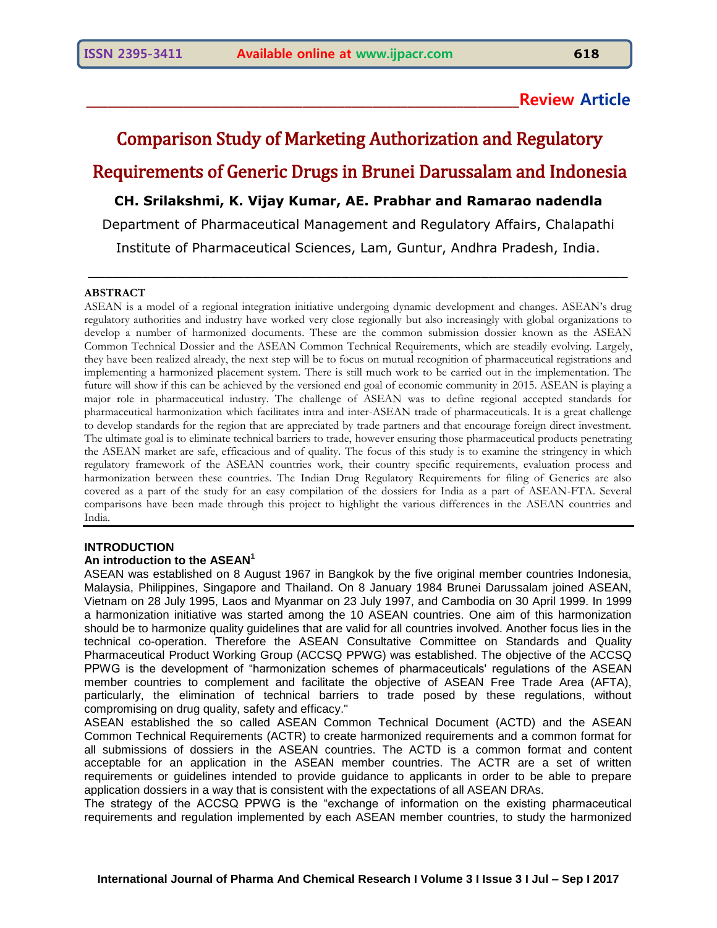# **\_\_\_\_\_\_\_\_\_\_\_\_\_\_\_\_\_\_\_\_\_\_\_\_\_\_\_\_\_\_\_\_\_\_\_\_\_\_\_\_\_\_\_\_\_\_\_\_\_\_\_\_\_\_\_\_\_\_\_\_\_\_Review Article**

# Comparison Study of Marketing Authorization and Regulatory Requirements of Generic Drugs in Brunei Darussalam and Indonesia **CH. Srilakshmi, K. Vijay Kumar, AE. Prabhar and Ramarao nadendla** Department of Pharmaceutical Management and Regulatory Affairs, Chalapathi Institute of Pharmaceutical Sciences, Lam, Guntur, Andhra Pradesh, India.

 $\_$  , and the set of the set of the set of the set of the set of the set of the set of the set of the set of the set of the set of the set of the set of the set of the set of the set of the set of the set of the set of th

#### **ABSTRACT**

ASEAN is a model of a regional integration initiative undergoing dynamic development and changes. ASEAN's drug regulatory authorities and industry have worked very close regionally but also increasingly with global organizations to develop a number of harmonized documents. These are the common submission dossier known as the ASEAN Common Technical Dossier and the ASEAN Common Technical Requirements, which are steadily evolving. Largely, they have been realized already, the next step will be to focus on mutual recognition of pharmaceutical registrations and implementing a harmonized placement system. There is still much work to be carried out in the implementation. The future will show if this can be achieved by the versioned end goal of economic community in 2015. ASEAN is playing a major role in pharmaceutical industry. The challenge of ASEAN was to define regional accepted standards for pharmaceutical harmonization which facilitates intra and inter-ASEAN trade of pharmaceuticals. It is a great challenge to develop standards for the region that are appreciated by trade partners and that encourage foreign direct investment. The ultimate goal is to eliminate technical barriers to trade, however ensuring those pharmaceutical products penetrating the ASEAN market are safe, efficacious and of quality. The focus of this study is to examine the stringency in which regulatory framework of the ASEAN countries work, their country specific requirements, evaluation process and harmonization between these countries. The Indian Drug Regulatory Requirements for filing of Generics are also covered as a part of the study for an easy compilation of the dossiers for India as a part of ASEAN-FTA. Several comparisons have been made through this project to highlight the various differences in the ASEAN countries and India.

#### **INTRODUCTION**

#### **An introduction to the ASEAN<sup>1</sup>**

ASEAN was established on 8 August 1967 in Bangkok by the five original member countries Indonesia, Malaysia, Philippines, Singapore and Thailand. On 8 January 1984 Brunei Darussalam joined ASEAN, Vietnam on 28 July 1995, Laos and Myanmar on 23 July 1997, and Cambodia on 30 April 1999. In 1999 a harmonization initiative was started among the 10 ASEAN countries. One aim of this harmonization should be to harmonize quality guidelines that are valid for all countries involved. Another focus lies in the technical co-operation. Therefore the ASEAN Consultative Committee on Standards and Quality Pharmaceutical Product Working Group (ACCSQ PPWG) was established. The objective of the ACCSQ PPWG is the development of "harmonization schemes of pharmaceuticals' regulations of the ASEAN member countries to complement and facilitate the objective of ASEAN Free Trade Area (AFTA), particularly, the elimination of technical barriers to trade posed by these regulations, without compromising on drug quality, safety and efficacy."

ASEAN established the so called ASEAN Common Technical Document (ACTD) and the ASEAN Common Technical Requirements (ACTR) to create harmonized requirements and a common format for all submissions of dossiers in the ASEAN countries. The ACTD is a common format and content acceptable for an application in the ASEAN member countries. The ACTR are a set of written requirements or guidelines intended to provide guidance to applicants in order to be able to prepare application dossiers in a way that is consistent with the expectations of all ASEAN DRAs.

The strategy of the ACCSQ PPWG is the "exchange of information on the existing pharmaceutical requirements and regulation implemented by each ASEAN member countries, to study the harmonized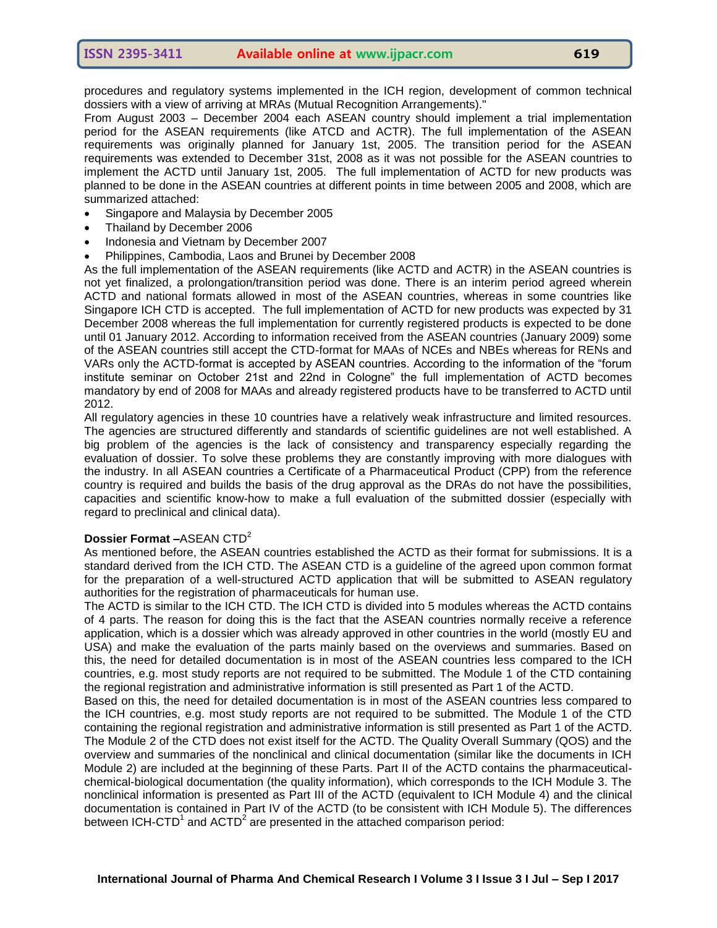From August 2003 – December 2004 each ASEAN country should implement a trial implementation period for the ASEAN requirements (like ATCD and ACTR). The full implementation of the ASEAN requirements was originally planned for January 1st, 2005. The transition period for the ASEAN requirements was extended to December 31st, 2008 as it was not possible for the ASEAN countries to implement the ACTD until January 1st, 2005. The full implementation of ACTD for new products was planned to be done in the ASEAN countries at different points in time between 2005 and 2008, which are summarized attached:

- Singapore and Malaysia by December 2005
- Thailand by December 2006
- Indonesia and Vietnam by December 2007
- Philippines, Cambodia, Laos and Brunei by December 2008

As the full implementation of the ASEAN requirements (like ACTD and ACTR) in the ASEAN countries is not yet finalized, a prolongation/transition period was done. There is an interim period agreed wherein ACTD and national formats allowed in most of the ASEAN countries, whereas in some countries like Singapore ICH CTD is accepted. The full implementation of ACTD for new products was expected by 31 December 2008 whereas the full implementation for currently registered products is expected to be done until 01 January 2012. According to information received from the ASEAN countries (January 2009) some of the ASEAN countries still accept the CTD-format for MAAs of NCEs and NBEs whereas for RENs and VARs only the ACTD-format is accepted by ASEAN countries. According to the information of the "forum institute seminar on October 21st and 22nd in Cologne" the full implementation of ACTD becomes mandatory by end of 2008 for MAAs and already registered products have to be transferred to ACTD until 2012.

All regulatory agencies in these 10 countries have a relatively weak infrastructure and limited resources. The agencies are structured differently and standards of scientific guidelines are not well established. A big problem of the agencies is the lack of consistency and transparency especially regarding the evaluation of dossier. To solve these problems they are constantly improving with more dialogues with the industry. In all ASEAN countries a Certificate of a Pharmaceutical Product (CPP) from the reference country is required and builds the basis of the drug approval as the DRAs do not have the possibilities, capacities and scientific know-how to make a full evaluation of the submitted dossier (especially with regard to preclinical and clinical data).

# **Dossier Format –**ASEAN CTD<sup>2</sup>

As mentioned before, the ASEAN countries established the ACTD as their format for submissions. It is a standard derived from the ICH CTD. The ASEAN CTD is a guideline of the agreed upon common format for the preparation of a well-structured ACTD application that will be submitted to ASEAN regulatory authorities for the registration of pharmaceuticals for human use.

The ACTD is similar to the ICH CTD. The ICH CTD is divided into 5 modules whereas the ACTD contains of 4 parts. The reason for doing this is the fact that the ASEAN countries normally receive a reference application, which is a dossier which was already approved in other countries in the world (mostly EU and USA) and make the evaluation of the parts mainly based on the overviews and summaries. Based on this, the need for detailed documentation is in most of the ASEAN countries less compared to the ICH countries, e.g. most study reports are not required to be submitted. The Module 1 of the CTD containing the regional registration and administrative information is still presented as Part 1 of the ACTD.

Based on this, the need for detailed documentation is in most of the ASEAN countries less compared to the ICH countries, e.g. most study reports are not required to be submitted. The Module 1 of the CTD containing the regional registration and administrative information is still presented as Part 1 of the ACTD. The Module 2 of the CTD does not exist itself for the ACTD. The Quality Overall Summary (QOS) and the overview and summaries of the nonclinical and clinical documentation (similar like the documents in ICH Module 2) are included at the beginning of these Parts. Part II of the ACTD contains the pharmaceuticalchemical-biological documentation (the quality information), which corresponds to the ICH Module 3. The nonclinical information is presented as Part III of the ACTD (equivalent to ICH Module 4) and the clinical documentation is contained in Part IV of the ACTD (to be consistent with ICH Module 5). The differences between ICH-CTD<sup>1</sup> and ACTD<sup>2</sup> are presented in the attached comparison period: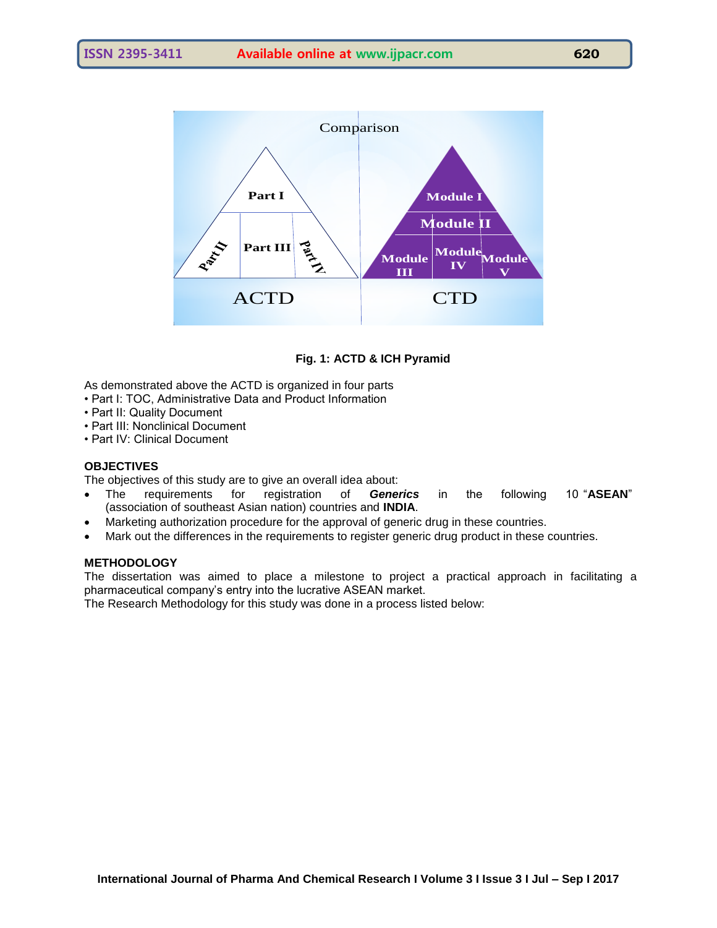

# **Fig. 1: ACTD & ICH Pyramid**

As demonstrated above the ACTD is organized in four parts

- Part I: TOC, Administrative Data and Product Information
- Part II: Quality Document
- Part III: Nonclinical Document
- Part IV: Clinical Document

# **OBJECTIVES**

The objectives of this study are to give an overall idea about:

- The requirements for registration of *Generics* in the following 10 "**ASEAN**" (association of southeast Asian nation) countries and **INDIA**.
- Marketing authorization procedure for the approval of generic drug in these countries.
- Mark out the differences in the requirements to register generic drug product in these countries.

# **METHODOLOGY**

The dissertation was aimed to place a milestone to project a practical approach in facilitating a pharmaceutical company's entry into the lucrative ASEAN market.

The Research Methodology for this study was done in a process listed below: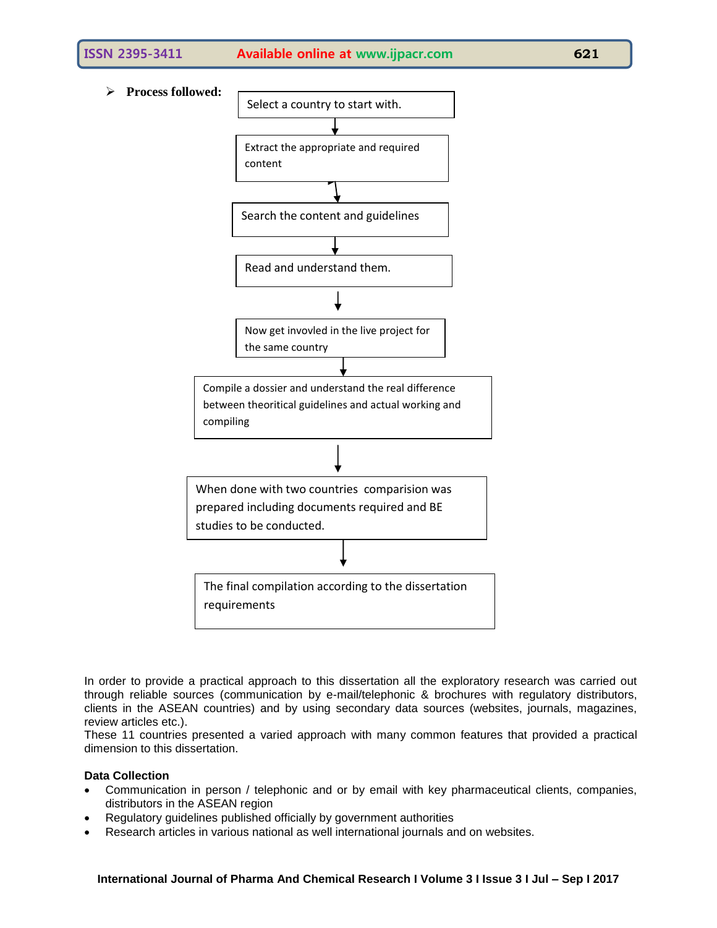

In order to provide a practical approach to this dissertation all the exploratory research was carried out through reliable sources (communication by e-mail/telephonic & brochures with regulatory distributors, clients in the ASEAN countries) and by using secondary data sources (websites, journals, magazines, review articles etc.).

These 11 countries presented a varied approach with many common features that provided a practical dimension to this dissertation.

# **Data Collection**

- Communication in person / telephonic and or by email with key pharmaceutical clients, companies, distributors in the ASEAN region
- Regulatory guidelines published officially by government authorities
- Research articles in various national as well international journals and on websites.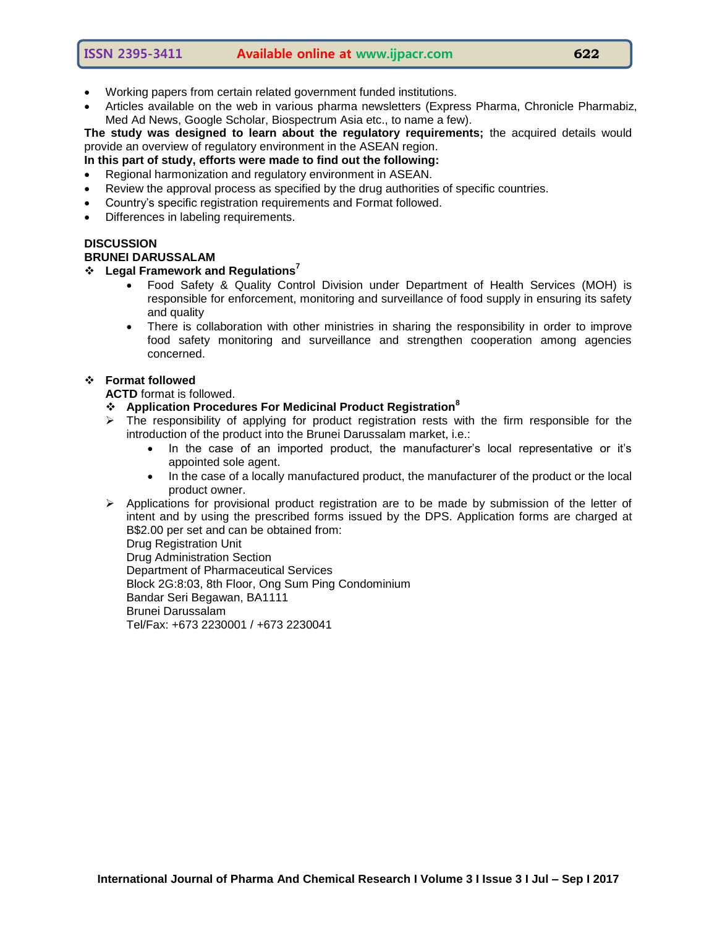- Working papers from certain related government funded institutions.
- Articles available on the web in various pharma newsletters (Express Pharma, Chronicle Pharmabiz, Med Ad News, Google Scholar, Biospectrum Asia etc., to name a few).

**The study was designed to learn about the regulatory requirements;** the acquired details would provide an overview of regulatory environment in the ASEAN region.

**In this part of study, efforts were made to find out the following:**

- Regional harmonization and regulatory environment in ASEAN.
- Review the approval process as specified by the drug authorities of specific countries.
- Country's specific registration requirements and Format followed.
- Differences in labeling requirements.

#### **DISCUSSION BRUNEI DARUSSALAM**

# **Legal Framework and Regulations<sup>7</sup>**

- Food Safety & Quality Control Division under Department of Health Services (MOH) is responsible for enforcement, monitoring and surveillance of food supply in ensuring its safety and quality
- There is collaboration with other ministries in sharing the responsibility in order to improve food safety monitoring and surveillance and strengthen cooperation among agencies concerned.

# **Format followed**

**ACTD** format is followed.

- **Application Procedures For Medicinal Product Registration<sup>8</sup>**
- $\triangleright$  The responsibility of applying for product registration rests with the firm responsible for the introduction of the product into the Brunei Darussalam market, i.e.:
	- In the case of an imported product, the manufacturer's local representative or it's appointed sole agent.
	- In the case of a locally manufactured product, the manufacturer of the product or the local product owner.
- $\triangleright$  Applications for provisional product registration are to be made by submission of the letter of intent and by using the prescribed forms issued by the DPS. Application forms are charged at B\$2.00 per set and can be obtained from:

Drug Registration Unit

Drug Administration Section Department of Pharmaceutical Services Block 2G:8:03, 8th Floor, Ong Sum Ping Condominium Bandar Seri Begawan, BA1111 Brunei Darussalam Tel/Fax: +673 2230001 / +673 2230041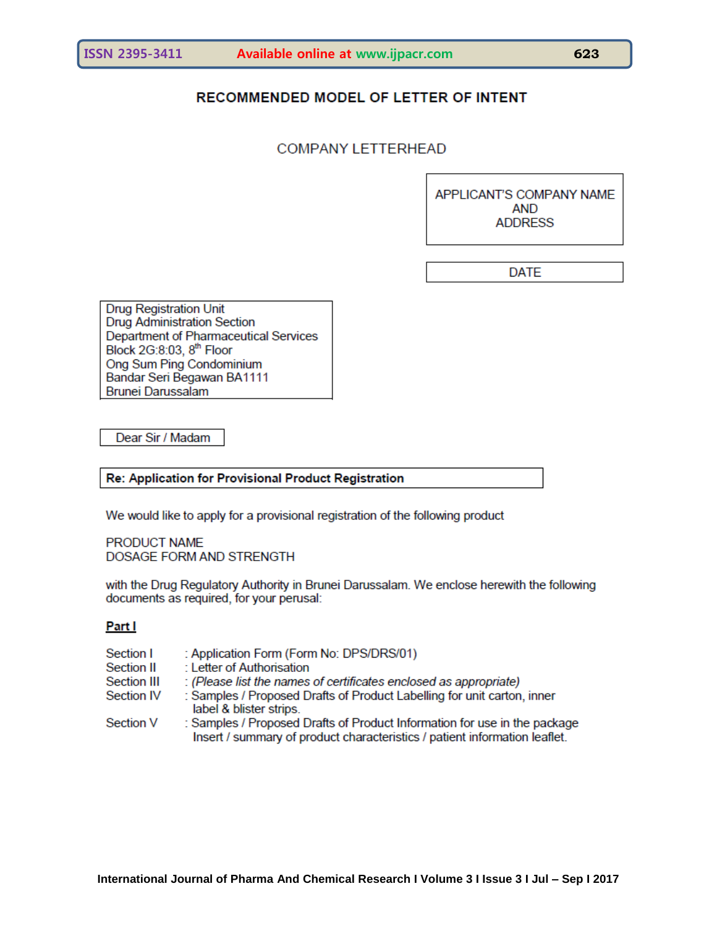# RECOMMENDED MODEL OF LETTER OF INTENT

# **COMPANY LETTERHEAD**

APPLICANT'S COMPANY NAME **AND ADDRESS** 

**DATE** 

**Drug Registration Unit** Drug Administration Section Department of Pharmaceutical Services Block 2G:8:03, 8th Floor Ong Sum Ping Condominium Bandar Seri Begawan BA1111 Brunei Darussalam

Dear Sir / Madam

Re: Application for Provisional Product Registration

We would like to apply for a provisional registration of the following product

PRODUCT NAME DOSAGE FORM AND STRENGTH

with the Drug Regulatory Authority in Brunei Darussalam. We enclose herewith the following documents as required, for your perusal:

# Part I

| Section I   | : Application Form (Form No: DPS/DRS/01)                                                                                                               |
|-------------|--------------------------------------------------------------------------------------------------------------------------------------------------------|
| Section II  | : Letter of Authorisation                                                                                                                              |
| Section III | : (Please list the names of certificates enclosed as appropriate)                                                                                      |
| Section IV  | : Samples / Proposed Drafts of Product Labelling for unit carton, inner<br>label & blister strips.                                                     |
| Section V   | : Samples / Proposed Drafts of Product Information for use in the package<br>Insert / summary of product characteristics / patient information leaflet |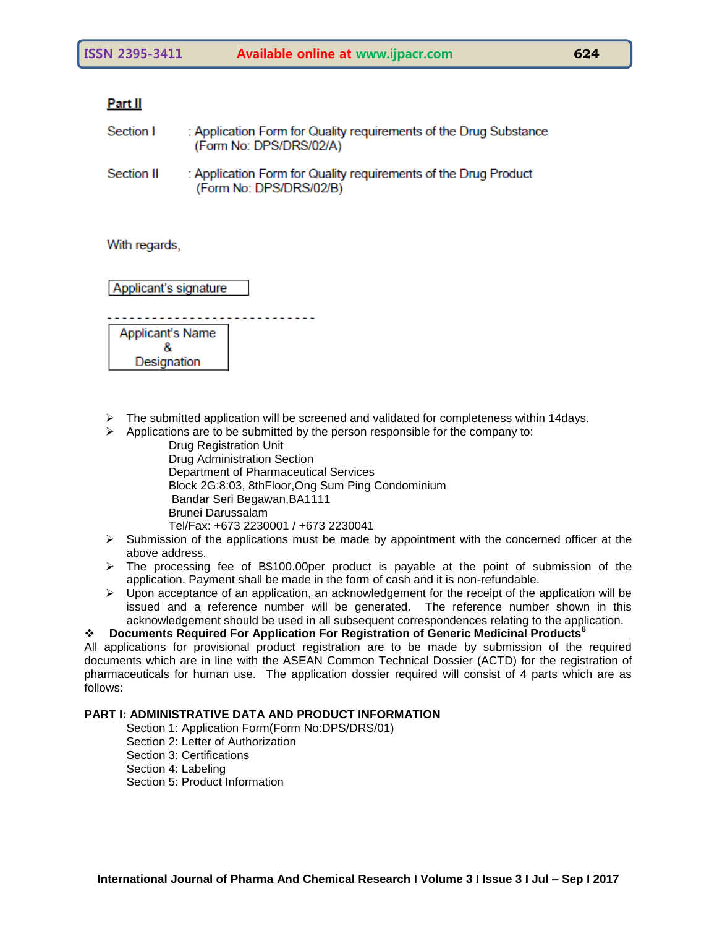# Part II

- Section I : Application Form for Quality requirements of the Drug Substance (Form No: DPS/DRS/02/A)
- Section II : Application Form for Quality requirements of the Drug Product (Form No: DPS/DRS/02/B)

With regards,

Applicant's signature

Applicant's Name 8

Designation

- $\triangleright$  The submitted application will be screened and validated for completeness within 14days.
- $\triangleright$  Applications are to be submitted by the person responsible for the company to:
	- Drug Registration Unit Drug Administration Section Department of Pharmaceutical Services Block 2G:8:03, 8thFloor,Ong Sum Ping Condominium Bandar Seri Begawan,BA1111 Brunei Darussalam Tel/Fax: +673 2230001 / +673 2230041
- $\triangleright$  Submission of the applications must be made by appointment with the concerned officer at the above address.
- $\triangleright$  The processing fee of B\$100.00per product is payable at the point of submission of the application. Payment shall be made in the form of cash and it is non-refundable.
- $\triangleright$  Upon acceptance of an application, an acknowledgement for the receipt of the application will be issued and a reference number will be generated. The reference number shown in this acknowledgement should be used in all subsequent correspondences relating to the application.

# **Documents Required For Application For Registration of Generic Medicinal Products<sup>8</sup>**

All applications for provisional product registration are to be made by submission of the required documents which are in line with the ASEAN Common Technical Dossier (ACTD) for the registration of pharmaceuticals for human use. The application dossier required will consist of 4 parts which are as follows:

# **PART I: ADMINISTRATIVE DATA AND PRODUCT INFORMATION**

Section 1: Application Form(Form No:DPS/DRS/01) Section 2: Letter of Authorization Section 3: Certifications Section 4: Labeling Section 5: Product Information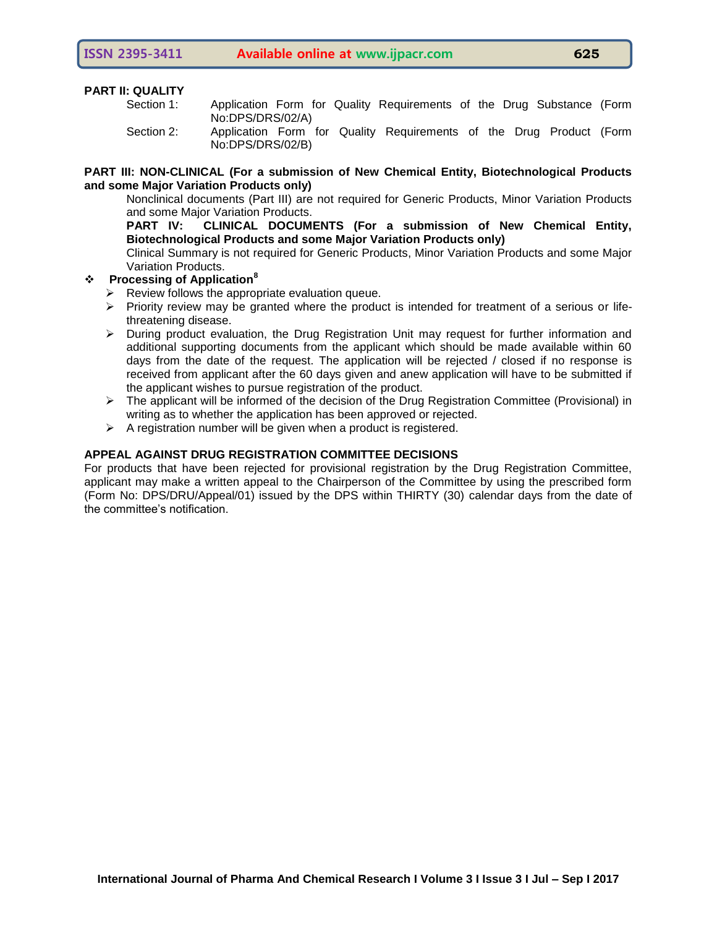#### **PART II: QUALITY**

| Section 1: |                  |  | Application Form for Quality Requirements of the Drug Substance (Form |  |  |  |
|------------|------------------|--|-----------------------------------------------------------------------|--|--|--|
|            | No:DPS/DRS/02/A) |  |                                                                       |  |  |  |
| Section 2: | No:DPS/DRS/02/B) |  | Application Form for Quality Requirements of the Drug Product (Form   |  |  |  |

## **PART III: NON-CLINICAL (For a submission of New Chemical Entity, Biotechnological Products and some Major Variation Products only)**

Nonclinical documents (Part III) are not required for Generic Products, Minor Variation Products and some Major Variation Products.

**PART IV: CLINICAL DOCUMENTS (For a submission of New Chemical Entity, Biotechnological Products and some Major Variation Products only)**

Clinical Summary is not required for Generic Products, Minor Variation Products and some Major Variation Products.

#### **Processing of Application<sup>8</sup>**

- $\triangleright$  Review follows the appropriate evaluation queue.
- $\triangleright$  Priority review may be granted where the product is intended for treatment of a serious or lifethreatening disease.
- $\triangleright$  During product evaluation, the Drug Registration Unit may request for further information and additional supporting documents from the applicant which should be made available within 60 days from the date of the request. The application will be rejected / closed if no response is received from applicant after the 60 days given and anew application will have to be submitted if the applicant wishes to pursue registration of the product.
- $\triangleright$  The applicant will be informed of the decision of the Drug Registration Committee (Provisional) in writing as to whether the application has been approved or rejected.
- $\triangleright$  A registration number will be given when a product is registered.

# **APPEAL AGAINST DRUG REGISTRATION COMMITTEE DECISIONS**

For products that have been rejected for provisional registration by the Drug Registration Committee, applicant may make a written appeal to the Chairperson of the Committee by using the prescribed form (Form No: DPS/DRU/Appeal/01) issued by the DPS within THIRTY (30) calendar days from the date of the committee's notification.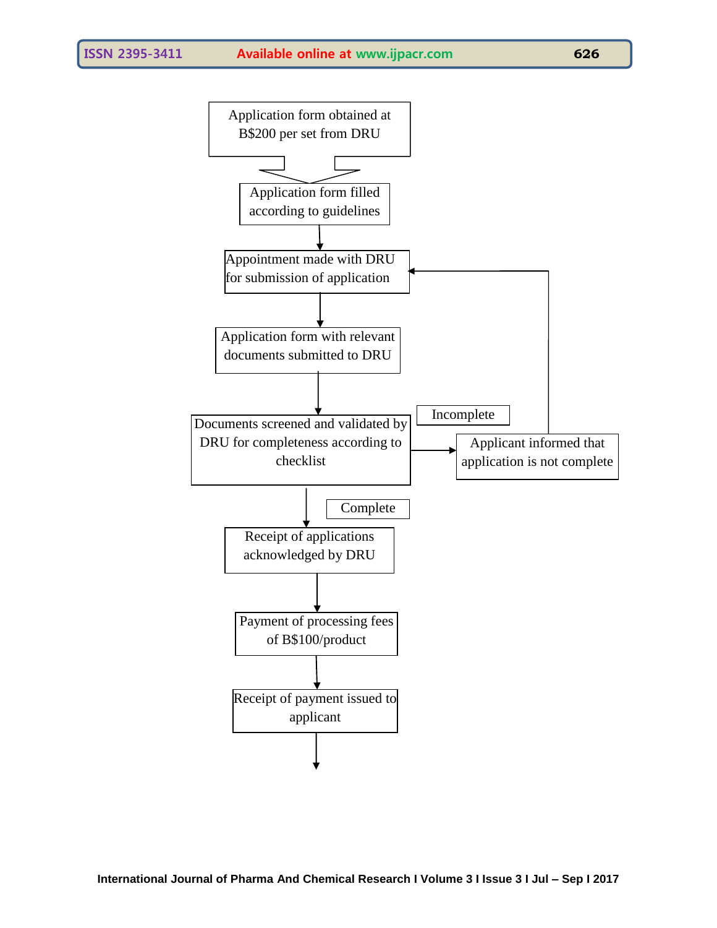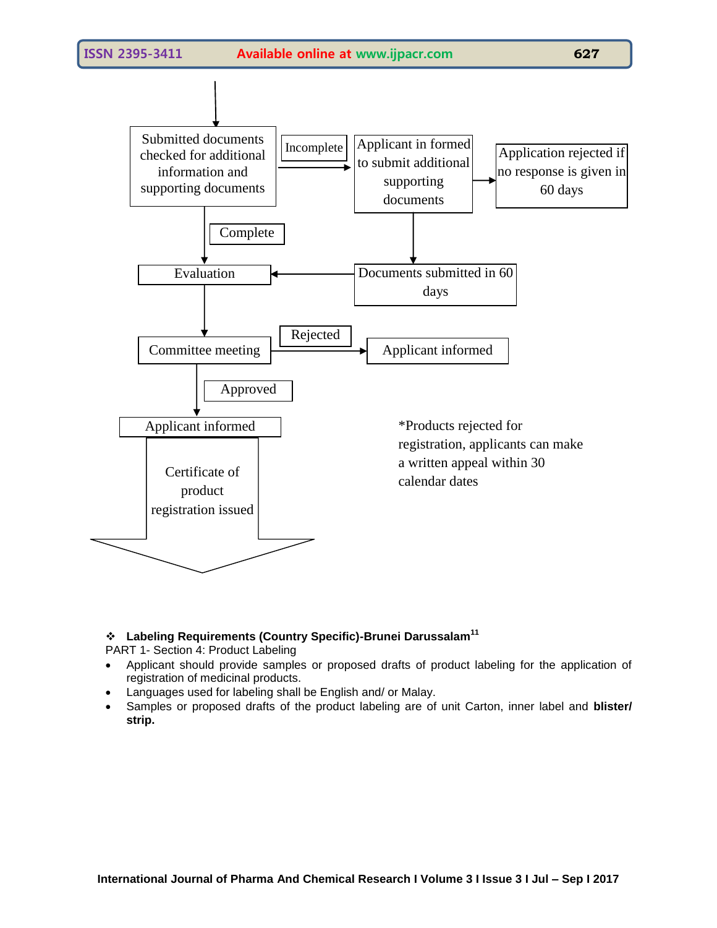

# **Labeling Requirements (Country Specific)-Brunei Darussalam<sup>11</sup>**

PART 1- Section 4: Product Labeling

- Applicant should provide samples or proposed drafts of product labeling for the application of registration of medicinal products.
- Languages used for labeling shall be English and/ or Malay.
- Samples or proposed drafts of the product labeling are of unit Carton, inner label and **blister/ strip.**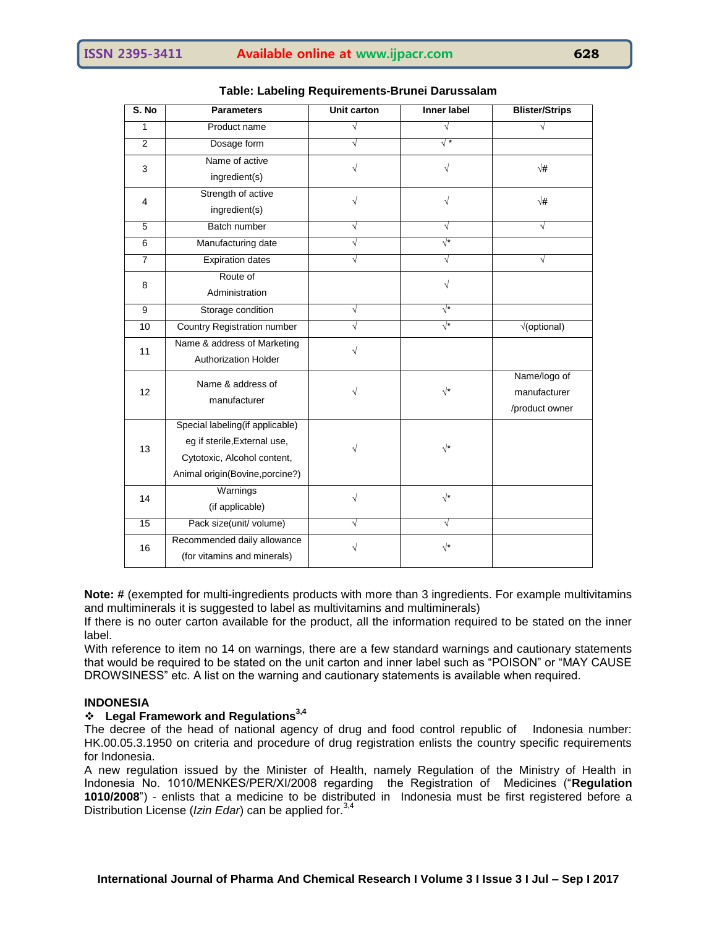| S. No          | <b>Parameters</b>                  | Unit carton | <b>Inner label</b> | <b>Blister/Strips</b>      |  |
|----------------|------------------------------------|-------------|--------------------|----------------------------|--|
| 1              | Product name                       | $\sqrt{ }$  | √                  | $\sqrt{}$                  |  |
| $\overline{2}$ | Dosage form                        | $\sqrt{}$   | $\sqrt{*}$         |                            |  |
| 3              | Name of active                     | $\sqrt{}$   | $\sqrt{}$          | $\sqrt{\#}$                |  |
|                | ingredient(s)                      |             |                    |                            |  |
| 4              | Strength of active                 | $\sqrt{ }$  | $\sqrt{ }$         | $\sqrt{\#}$                |  |
|                | ingredient(s)                      |             |                    |                            |  |
| 5              | Batch number                       | $\sqrt{ }$  | √                  | V                          |  |
| $\overline{6}$ | Manufacturing date                 | $\sqrt{}$   | $\sqrt{*}$         |                            |  |
| $\overline{7}$ | <b>Expiration dates</b>            | $\sqrt{}$   | $\sqrt{ }$         | $\sqrt{}$                  |  |
| 8              | Route of                           |             | $\sqrt{}$          |                            |  |
|                | Administration                     |             |                    |                            |  |
| 9              | Storage condition                  | $\sqrt{}$   | $\sqrt{*}$         |                            |  |
| 10             | <b>Country Registration number</b> | $\sqrt{}$   | $\sqrt{*}$         | $\sqrt{\text{(optional)}}$ |  |
| 11             | Name & address of Marketing        | V           |                    |                            |  |
|                | <b>Authorization Holder</b>        |             |                    |                            |  |
|                | Name & address of                  | $\sqrt{}$   | $\sqrt{\ast}$      | Name/logo of               |  |
| 12             | manufacturer                       |             |                    | manufacturer               |  |
|                |                                    |             |                    | /product owner             |  |
|                | Special labeling(if applicable)    |             |                    |                            |  |
| 13             | eg if sterile, External use,       | V           | $\sqrt{*}$         |                            |  |
|                | Cytotoxic, Alcohol content,        |             |                    |                            |  |
|                | Animal origin(Bovine, porcine?)    |             |                    |                            |  |
| 14             | Warnings                           | V           | $\sqrt{\star}$     |                            |  |
|                | (if applicable)                    |             |                    |                            |  |
| 15             | Pack size(unit/ volume)            | $\sqrt{}$   | $\sqrt{}$          |                            |  |
| 16             | Recommended daily allowance        |             | $\sqrt{\star}$     |                            |  |
|                | (for vitamins and minerals)        |             |                    |                            |  |

# **Table: Labeling Requirements-Brunei Darussalam**

**Note: #** (exempted for multi-ingredients products with more than 3 ingredients. For example multivitamins and multiminerals it is suggested to label as multivitamins and multiminerals)

If there is no outer carton available for the product, all the information required to be stated on the inner label.

With reference to item no 14 on warnings, there are a few standard warnings and cautionary statements that would be required to be stated on the unit carton and inner label such as "POISON" or "MAY CAUSE DROWSINESS" etc. A list on the warning and cautionary statements is available when required.

# **INDONESIA**

# **Legal Framework and Regulations3,4**

The decree of the head of national agency of drug and food control republic of Indonesia number: HK.00.05.3.1950 on criteria and procedure of drug registration enlists the country specific requirements for Indonesia.

A new regulation issued by the Minister of Health, namely Regulation of the Ministry of Health in Indonesia No. 1010/MENKES/PER/XI/2008 regarding the Registration of Medicines ("**Regulation 1010/2008**") - enlists that a medicine to be distributed in Indonesia must be first registered before a Distribution License (*Izin Edar*) can be applied for.<sup>3,4</sup>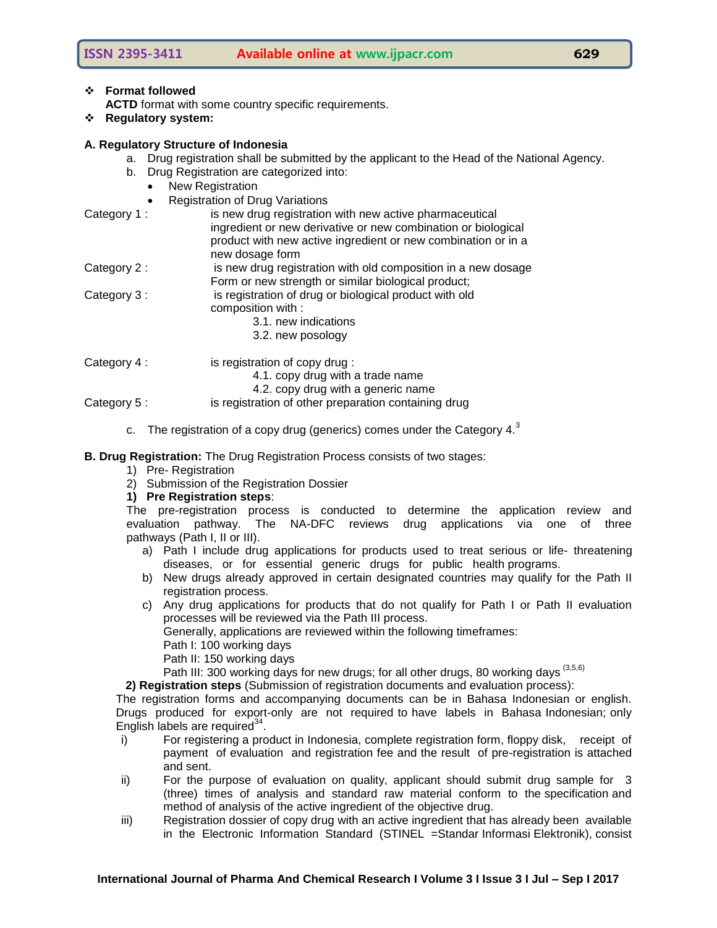# **ISSN 2395-3411 Available online at www.ijpacr.com 629**

# **Format followed**

ACTD format with some country specific requirements.

**Regulatory system:**

### **A. Regulatory Structure of Indonesia**

- a. Drug registration shall be submitted by the applicant to the Head of the National Agency.
- b. Drug Registration are categorized into:
	- New Registration
	- Registration of Drug Variations

| Category 1:  | is new drug registration with new active pharmaceutical<br>ingredient or new derivative or new combination or biological<br>product with new active ingredient or new combination or in a |
|--------------|-------------------------------------------------------------------------------------------------------------------------------------------------------------------------------------------|
|              | new dosage form                                                                                                                                                                           |
| Category 2 : | is new drug registration with old composition in a new dosage                                                                                                                             |
|              | Form or new strength or similar biological product;                                                                                                                                       |
| Category 3:  | is registration of drug or biological product with old                                                                                                                                    |
|              | composition with :                                                                                                                                                                        |
|              | 3.1, new indications                                                                                                                                                                      |
|              | 3.2. new posology                                                                                                                                                                         |
| Category 4:  | is registration of copy drug:                                                                                                                                                             |
|              | 4.1. copy drug with a trade name                                                                                                                                                          |

4.2. copy drug with a generic name

- Category 5 : is registration of other preparation containing drug
	- c. The registration of a copy drug (generics) comes under the Category  $4.^3$

**B. Drug Registration:** The Drug Registration Process consists of two stages:

- 1) Pre- Registration
- 2) Submission of the Registration Dossier
- **1) Pre Registration steps**:

The pre-registration process is conducted to determine the application review and evaluation pathway. The NA-DFC reviews drug applications via one of three pathways (Path I, II or III).

- a) Path I include drug applications for products used to treat serious or life- threatening diseases, or for essential generic drugs for public health programs.
- b) New drugs already approved in certain designated countries may qualify for the Path II registration process.
- c) Any drug applications for products that do not qualify for Path I or Path II evaluation processes will be reviewed via the Path III process.

Generally, applications are reviewed within the following timeframes:

- Path I: 100 working days
- Path II: 150 working days

Path III: 300 working days for new drugs; for all other drugs, 80 working days (3,5,6)

**2) Registration steps** (Submission of registration documents and evaluation process):

The registration forms and accompanying documents can be in Bahasa Indonesian or english. Drugs produced for export-only are not required to have labels in Bahasa Indonesian; only English labels are required $34$ .

- i) For registering a product in Indonesia, complete registration form, floppy disk, receipt of payment of evaluation and registration fee and the result of pre-registration is attached and sent.
- ii) For the purpose of evaluation on quality, applicant should submit drug sample for 3 (three) times of analysis and standard raw material conform to the specification and method of analysis of the active ingredient of the objective drug.
- iii) Registration dossier of copy drug with an active ingredient that has already been available in the Electronic Information Standard (STINEL =Standar Informasi Elektronik), consist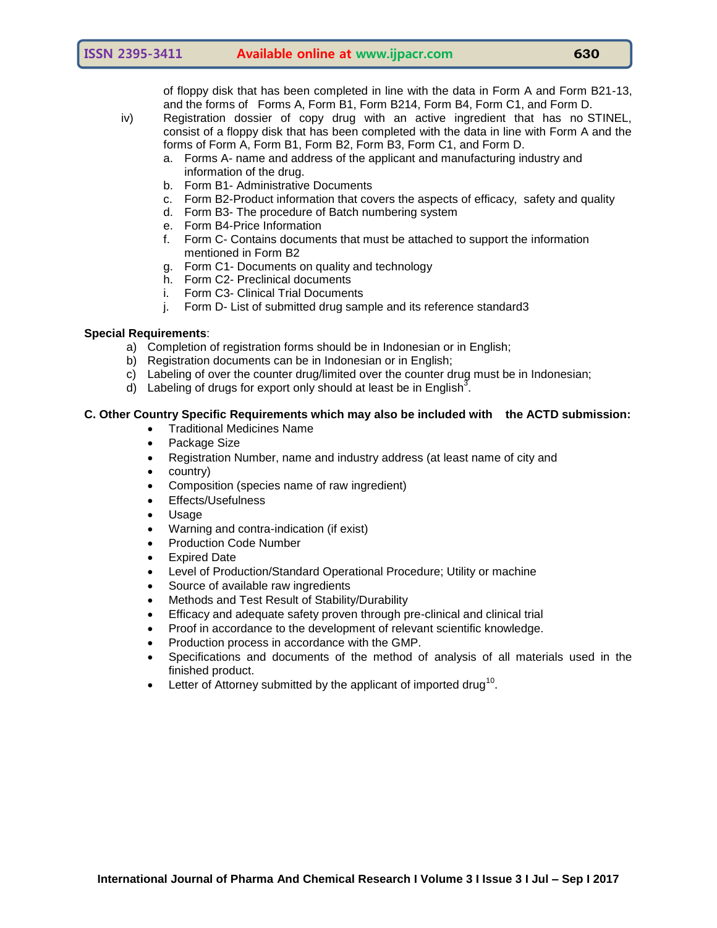of floppy disk that has been completed in line with the data in Form A and Form B21-13, and the forms of Forms A, Form B1, Form B214, Form B4, Form C1, and Form D.

- iv) Registration dossier of copy drug with an active ingredient that has no STINEL, consist of a floppy disk that has been completed with the data in line with Form A and the forms of Form A, Form B1, Form B2, Form B3, Form C1, and Form D.
	- a. Forms A- name and address of the applicant and manufacturing industry and information of the drug.
	- b. Form B1- Administrative Documents
	- c. Form B2-Product information that covers the aspects of efficacy, safety and quality
	- d. Form B3- The procedure of Batch numbering system
	- e. Form B4-Price Information
	- f. Form C- Contains documents that must be attached to support the information mentioned in Form B2
	- g. Form C1- Documents on quality and technology
	- h. Form C2- Preclinical documents
	- i. Form C3- Clinical Trial Documents
	- j. Form D- List of submitted drug sample and its reference standard3

# **Special Requirements**:

- a) Completion of registration forms should be in Indonesian or in English;
- b) Registration documents can be in Indonesian or in English;
- c) Labeling of over the counter drug/limited over the counter drug must be in Indonesian;
- d) Labeling of drugs for export only should at least be in English<sup>3</sup>.

# **C. Other Country Specific Requirements which may also be included with the ACTD submission:**

- Traditional Medicines Name
- Package Size
- Registration Number, name and industry address (at least name of city and
- country)
- Composition (species name of raw ingredient)
- Effects/Usefulness
- Usage
- Warning and contra-indication (if exist)
- Production Code Number
- Expired Date
- Level of Production/Standard Operational Procedure; Utility or machine
- Source of available raw ingredients
- Methods and Test Result of Stability/Durability
- Efficacy and adequate safety proven through pre-clinical and clinical trial
- Proof in accordance to the development of relevant scientific knowledge.
- Production process in accordance with the GMP.
- Specifications and documents of the method of analysis of all materials used in the finished product.
- Eletter of Attorney submitted by the applicant of imported drug<sup>10</sup>.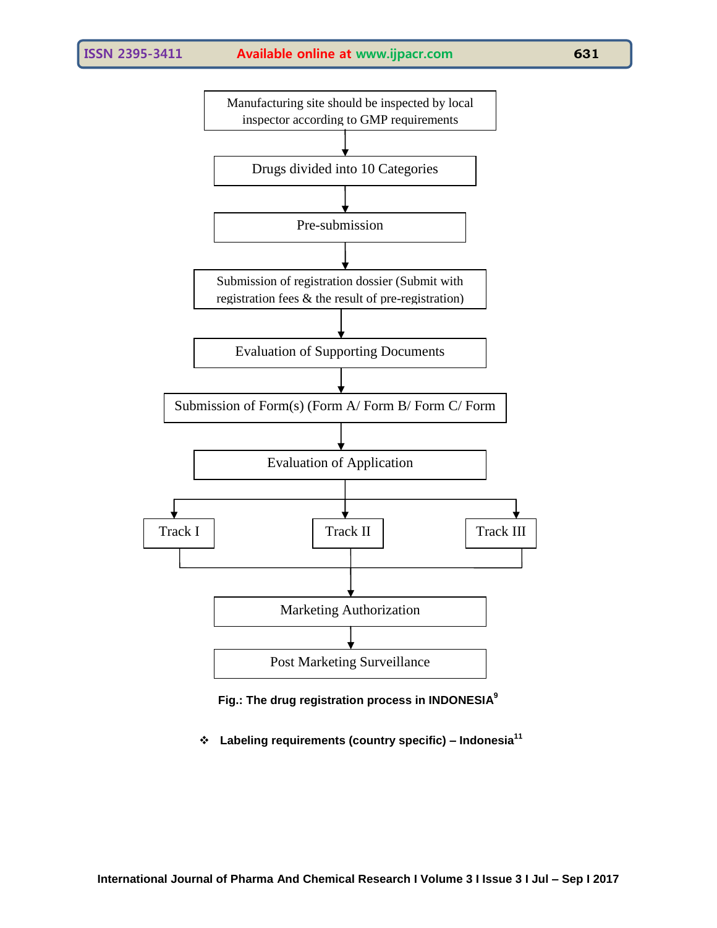



**Labeling requirements (country specific) – Indonesia<sup>11</sup>**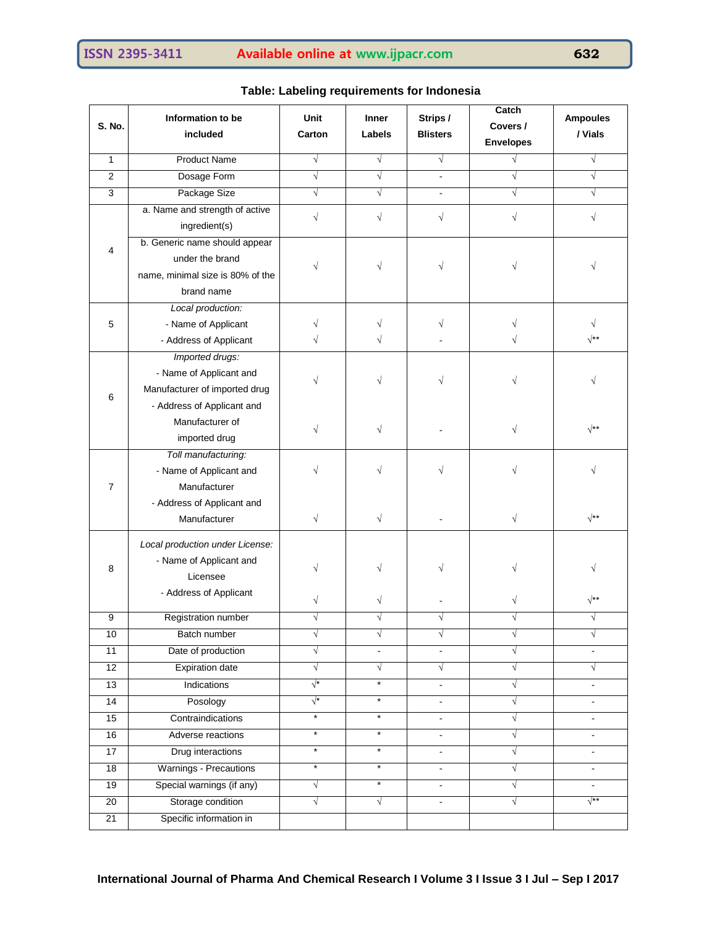| S. No.          | Information to be<br>included       | Unit<br>Carton | Inner<br><b>Labels</b> | Strips /<br><b>Blisters</b> | Catch<br>Covers / | <b>Ampoules</b><br>/ Vials |  |
|-----------------|-------------------------------------|----------------|------------------------|-----------------------------|-------------------|----------------------------|--|
|                 |                                     |                |                        |                             | <b>Envelopes</b>  |                            |  |
| 1               | <b>Product Name</b>                 | $\sqrt{ }$     | $\sqrt{ }$             | $\sqrt{ }$                  | $\sqrt{}$         | $\sqrt{ }$                 |  |
| $\overline{2}$  | Dosage Form                         | $\sqrt{}$      | $\sqrt{}$              | ÷.                          | $\sqrt{}$         | $\sqrt{}$                  |  |
| 3               | Package Size                        | $\sqrt{ }$     | $\sqrt{ }$             |                             | $\sqrt{}$         | $\sqrt{}$                  |  |
|                 | a. Name and strength of active      | $\sqrt{}$      | $\sqrt{}$              | $\sqrt{}$                   |                   |                            |  |
|                 | ingredient(s)                       |                |                        |                             |                   |                            |  |
| 4               | b. Generic name should appear       |                |                        |                             |                   |                            |  |
|                 | under the brand                     |                | $\sqrt{}$              | $\sqrt{}$                   |                   |                            |  |
|                 | name, minimal size is 80% of the    |                |                        |                             |                   |                            |  |
|                 | brand name                          |                |                        |                             |                   |                            |  |
|                 | Local production:                   |                |                        |                             |                   |                            |  |
| 5               | - Name of Applicant                 |                | √                      | V                           |                   |                            |  |
|                 | - Address of Applicant              |                |                        |                             |                   | √**                        |  |
|                 | Imported drugs:                     |                |                        |                             |                   |                            |  |
|                 | - Name of Applicant and             |                |                        |                             |                   |                            |  |
|                 | Manufacturer of imported drug       |                |                        |                             |                   |                            |  |
| 6               | - Address of Applicant and          |                |                        |                             |                   |                            |  |
|                 | Manufacturer of                     |                |                        |                             |                   |                            |  |
|                 | imported drug                       | $\sqrt{}$      | $\sqrt{}$              |                             | $\sqrt{}$         | $\sqrt{**}$                |  |
|                 | Toll manufacturing:                 |                |                        |                             |                   |                            |  |
|                 | - Name of Applicant and             |                | V                      | V                           |                   |                            |  |
| $\overline{7}$  | Manufacturer                        |                |                        |                             |                   |                            |  |
|                 | - Address of Applicant and          |                |                        |                             |                   |                            |  |
|                 | Manufacturer                        | $\sqrt{}$      | $\sqrt{}$              |                             | $\sqrt{}$         | $\sqrt{**}$                |  |
|                 |                                     |                |                        |                             |                   |                            |  |
|                 | Local production under License:     | V              |                        | $\sqrt{}$                   | V                 |                            |  |
| 8               | - Name of Applicant and<br>Licensee |                |                        |                             |                   |                            |  |
|                 |                                     |                |                        |                             |                   |                            |  |
|                 | - Address of Applicant              | √              | √                      |                             | V                 | $\sqrt{**}$                |  |
| 9               | Registration number                 |                |                        |                             |                   |                            |  |
| 10              | Batch number                        | V              | $\sqrt{}$              | √                           | ٦                 | ٦                          |  |
| $\overline{11}$ | Date of production                  | $\sqrt{}$      | $\sim$                 |                             | √                 |                            |  |
| $\overline{12}$ | <b>Expiration date</b>              | $\sqrt{}$      | $\sqrt{}$              | $\sqrt{}$                   | $\sqrt{}$         | $\sqrt{}$                  |  |
| 13              | Indications                         | $\sqrt{*}$     | $\star$                |                             | V                 |                            |  |
| 14              | Posology                            | $\sqrt{*}$     | $\star$                | $\blacksquare$              | √                 |                            |  |
| 15              | Contraindications                   | $^\star$       | $\star$                | $\blacksquare$              | $\sqrt{}$         | $\mathbf{r}$               |  |
| 16              | Adverse reactions                   | $^\star$       | $\star$                | ۰                           | √                 |                            |  |
| 17              | Drug interactions                   | $\star$        | $\star$                | ä,                          | √                 | $\overline{a}$             |  |
| 18              | Warnings - Precautions              | $\star$        | $\star$                | ÷.                          | √                 |                            |  |
| 19              | Special warnings (if any)           | $\sqrt{ }$     | $\star$                | $\blacksquare$              | √                 | $\sim$                     |  |
| 20              | Storage condition                   | $\sqrt{}$      | $\sqrt{}$              | $\blacksquare$              | $\sqrt{}$         | $\sqrt{**}$                |  |
| 21              | Specific information in             |                |                        |                             |                   |                            |  |
|                 |                                     |                |                        |                             |                   |                            |  |

# **Table: Labeling requirements for Indonesia**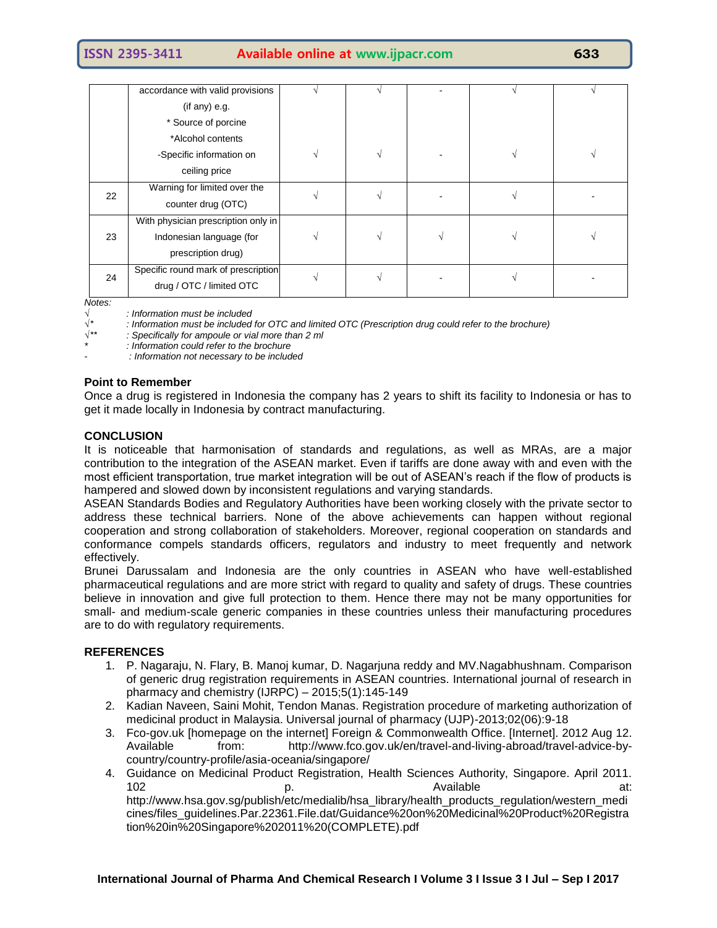|    | accordance with valid provisions    |  |  |  |
|----|-------------------------------------|--|--|--|
|    | (if any) e.g.                       |  |  |  |
|    | * Source of porcine                 |  |  |  |
|    | *Alcohol contents                   |  |  |  |
|    | -Specific information on            |  |  |  |
|    | ceiling price                       |  |  |  |
| 22 | Warning for limited over the        |  |  |  |
|    | counter drug (OTC)                  |  |  |  |
|    | With physician prescription only in |  |  |  |
| 23 | Indonesian language (for            |  |  |  |
|    | prescription drug)                  |  |  |  |
| 24 | Specific round mark of prescription |  |  |  |
|    | drug / OTC / limited OTC            |  |  |  |

*Notes:*

*√ : Information must be included*

*√\* : Information must be included for OTC and limited OTC (Prescription drug could refer to the brochure)*

*√\*\* : Specifically for ampoule or vial more than 2 ml*

*\* : Information could refer to the brochure*

*- : Information not necessary to be included*

### **Point to Remember**

Once a drug is registered in Indonesia the company has 2 years to shift its facility to Indonesia or has to get it made locally in Indonesia by contract manufacturing.

#### **CONCLUSION**

It is noticeable that harmonisation of standards and regulations, as well as MRAs, are a major contribution to the integration of the ASEAN market. Even if tariffs are done away with and even with the most efficient transportation, true market integration will be out of ASEAN's reach if the flow of products is hampered and slowed down by inconsistent regulations and varying standards.

ASEAN Standards Bodies and Regulatory Authorities have been working closely with the private sector to address these technical barriers. None of the above achievements can happen without regional cooperation and strong collaboration of stakeholders. Moreover, regional cooperation on standards and conformance compels standards officers, regulators and industry to meet frequently and network effectively.

Brunei Darussalam and Indonesia are the only countries in ASEAN who have well-established pharmaceutical regulations and are more strict with regard to quality and safety of drugs. These countries believe in innovation and give full protection to them. Hence there may not be many opportunities for small- and medium-scale generic companies in these countries unless their manufacturing procedures are to do with regulatory requirements.

#### **REFERENCES**

- 1. P. Nagaraju, N. Flary, B. Manoj kumar, D. Nagarjuna reddy and MV.Nagabhushnam. Comparison of generic drug registration requirements in ASEAN countries. International journal of research in pharmacy and chemistry (IJRPC)  $-2015:5(1):145-149$
- 2. Kadian Naveen, Saini Mohit, Tendon Manas. Registration procedure of marketing authorization of medicinal product in Malaysia. Universal journal of pharmacy (UJP)-2013;02(06):9-18
- 3. Fco-gov.uk [homepage on the internet] Foreign & Commonwealth Office. [Internet]. 2012 Aug 12. Available from: [http://www.fco.gov.uk/en/travel-and-living-abroad/travel-advice-by](http://www.fco.gov.uk/en/travel-and-living-abroad/travel-advice-by-country/country-profile/asia-oceania/singapore/)[country/country-profile/asia-oceania/singapore/](http://www.fco.gov.uk/en/travel-and-living-abroad/travel-advice-by-country/country-profile/asia-oceania/singapore/)
- 4. Guidance on Medicinal Product Registration, Health Sciences Authority, Singapore. April 2011. 102 **p.** p. the contract proposal problem at: [http://www.hsa.gov.sg/publish/etc/medialib/hsa\\_library/health\\_products\\_regulation/western\\_medi](http://www.hsa.gov.sg/publish/etc/medialib/hsa_library/health_products_regulation/western_medicines/files_guidelines.Par.22361.File.dat/Guidance%20on%20Medicinal%20Product%20Registration%20in%20Singapore%202011%20(COMPLETE).pdf) [cines/files\\_guidelines.Par.22361.File.dat/Guidance%20on%20Medicinal%20Product%20Registra](http://www.hsa.gov.sg/publish/etc/medialib/hsa_library/health_products_regulation/western_medicines/files_guidelines.Par.22361.File.dat/Guidance%20on%20Medicinal%20Product%20Registration%20in%20Singapore%202011%20(COMPLETE).pdf) [tion%20in%20Singapore%202011%20\(COMPLETE\).pdf](http://www.hsa.gov.sg/publish/etc/medialib/hsa_library/health_products_regulation/western_medicines/files_guidelines.Par.22361.File.dat/Guidance%20on%20Medicinal%20Product%20Registration%20in%20Singapore%202011%20(COMPLETE).pdf)